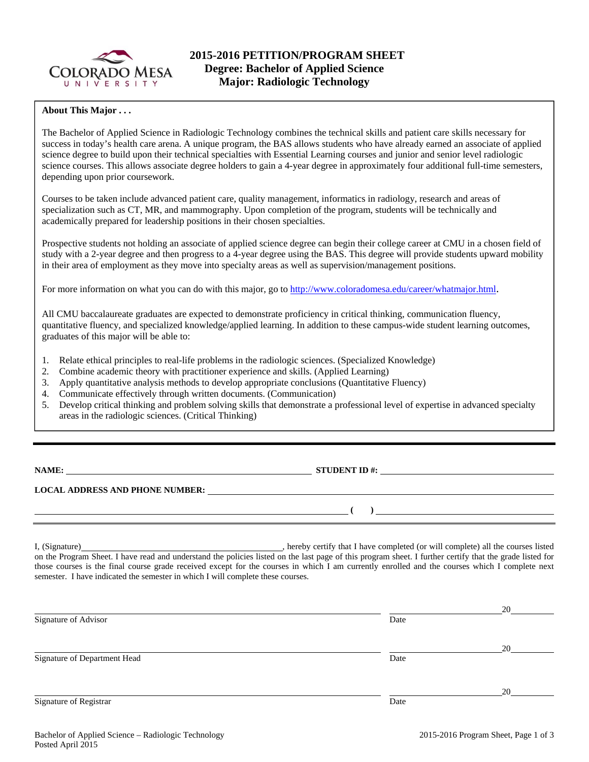

## **About This Major . . .**

The Bachelor of Applied Science in Radiologic Technology combines the technical skills and patient care skills necessary for success in today's health care arena. A unique program, the BAS allows students who have already earned an associate of applied science degree to build upon their technical specialties with Essential Learning courses and junior and senior level radiologic science courses. This allows associate degree holders to gain a 4-year degree in approximately four additional full-time semesters, depending upon prior coursework.

Courses to be taken include advanced patient care, quality management, informatics in radiology, research and areas of specialization such as CT, MR, and mammography. Upon completion of the program, students will be technically and academically prepared for leadership positions in their chosen specialties.

Prospective students not holding an associate of applied science degree can begin their college career at CMU in a chosen field of study with a 2-year degree and then progress to a 4-year degree using the BAS. This degree will provide students upward mobility in their area of employment as they move into specialty areas as well as supervision/management positions.

For more information on what you can do with this major, go to http://www.coloradomesa.edu/career/whatmajor.html.

All CMU baccalaureate graduates are expected to demonstrate proficiency in critical thinking, communication fluency, quantitative fluency, and specialized knowledge/applied learning. In addition to these campus-wide student learning outcomes, graduates of this major will be able to:

- 1. Relate ethical principles to real-life problems in the radiologic sciences. (Specialized Knowledge)
- 2. Combine academic theory with practitioner experience and skills. (Applied Learning)
- 3. Apply quantitative analysis methods to develop appropriate conclusions (Quantitative Fluency)
- 4. Communicate effectively through written documents. (Communication)
- 5. Develop critical thinking and problem solving skills that demonstrate a professional level of expertise in advanced specialty areas in the radiologic sciences. (Critical Thinking)

**NAME: STUDENT ID #:**

 **( )** 

**LOCAL ADDRESS AND PHONE NUMBER:**

I, (Signature) **Solution** , hereby certify that I have completed (or will complete) all the courses listed on the Program Sheet. I have read and understand the policies listed on the last page of this program sheet. I further certify that the grade listed for those courses is the final course grade received except for the courses in which I am currently enrolled and the courses which I complete next semester. I have indicated the semester in which I will complete these courses.

|      | 20 |
|------|----|
| Date |    |
|      |    |
|      | 20 |
| Date |    |
|      |    |
|      | 20 |
| Date |    |
|      |    |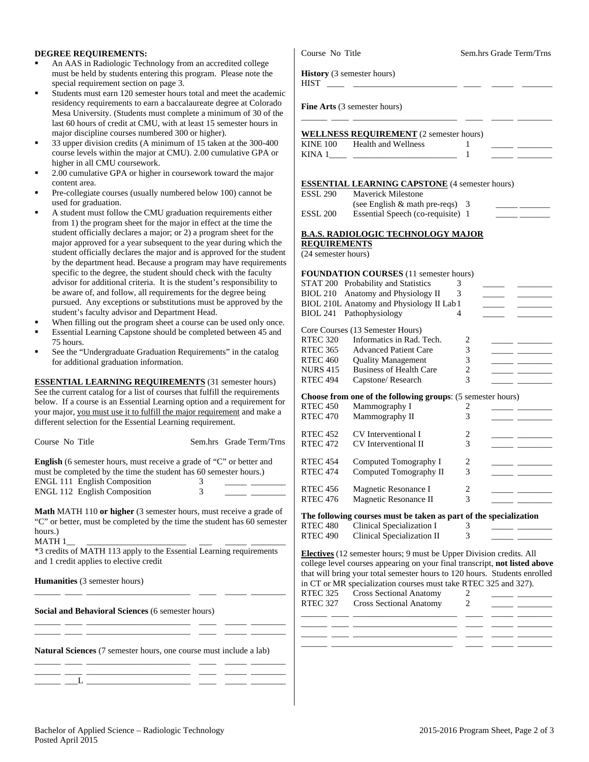## **DEGREE REQUIREMENTS:**

- An AAS in Radiologic Technology from an accredited college must be held by students entering this program. Please note the special requirement section on page 3.
- Students must earn 120 semester hours total and meet the acade residency requirements to earn a baccalaureate degree at Colora Mesa University. (Students must complete a minimum of 30 of last 60 hours of credit at CMU, with at least 15 semester hours in major discipline courses numbered 300 or higher).
- 33 upper division credits (A minimum of 15 taken at the 300-40 course levels within the major at CMU). 2.00 cumulative GPA higher in all CMU coursework.
- 2.00 cumulative GPA or higher in coursework toward the major content area.
- Pre-collegiate courses (usually numbered below 100) cannot be used for graduation.
- A student must follow the CMU graduation requirements either from 1) the program sheet for the major in effect at the time the student officially declares a major; or 2) a program sheet for the major approved for a year subsequent to the year during which student officially declares the major and is approved for the stud by the department head. Because a program may have requirements specific to the degree, the student should check with the faculty advisor for additional criteria. It is the student's responsibility to be aware of, and follow, all requirements for the degree being pursued. Any exceptions or substitutions must be approved by student's faculty advisor and Department Head.
- When filling out the program sheet a course can be used only on
- Essential Learning Capstone should be completed between 45 a 75 hours.
- See the "Undergraduate Graduation Requirements" in the catalog for additional graduation information.

| Course No Title |                                                                                                                                                                                                                                |   | Sem.hrs Grade Term/Trns |
|-----------------|--------------------------------------------------------------------------------------------------------------------------------------------------------------------------------------------------------------------------------|---|-------------------------|
|                 | <b>English</b> (6 semester hours, must receive a grade of "C" or better and<br>must be completed by the time the student has 60 semester hours.)<br><b>ENGL 111 English Composition</b><br><b>ENGL 112 English Composition</b> | 3 |                         |

**Natural Sciences** (7 semester hours, one course must include a lab) \_\_\_\_\_\_ \_\_\_\_ \_\_\_\_\_\_\_\_\_\_\_\_\_\_\_\_\_\_\_\_\_\_\_\_ \_\_\_\_ \_\_\_\_\_ \_\_\_\_\_\_\_\_

\_\_\_\_\_\_ \_\_\_\_ \_\_\_\_\_\_\_\_\_\_\_\_\_\_\_\_\_\_\_\_\_\_\_\_ \_\_\_\_ \_\_\_\_\_ \_\_\_\_\_\_\_\_

\_\_\_\_\_\_ \_\_\_\_ \_\_\_\_\_\_\_\_\_\_\_\_\_\_\_\_\_\_\_\_\_\_\_\_ \_\_\_\_ \_\_\_\_\_ \_\_\_\_\_\_\_\_ \_\_\_\_\_\_ \_\_\_L \_\_\_\_\_\_\_\_\_\_\_\_\_\_\_\_\_\_\_\_\_\_\_\_ \_\_\_\_ \_\_\_\_\_ \_\_\_\_\_\_\_\_

| An AAS in Radiologic Technology from an accredited college<br>must be held by students entering this program. Please note the                                                          | <b>History</b> (3 semester hours)                                                                                                  |
|----------------------------------------------------------------------------------------------------------------------------------------------------------------------------------------|------------------------------------------------------------------------------------------------------------------------------------|
| special requirement section on page 3.                                                                                                                                                 | <b>HIST</b>                                                                                                                        |
| Students must earn 120 semester hours total and meet the academic<br>٠<br>residency requirements to earn a baccalaureate degree at Colorado                                            | Fine Arts (3 semester hours)                                                                                                       |
| Mesa University. (Students must complete a minimum of 30 of the                                                                                                                        |                                                                                                                                    |
| last 60 hours of credit at CMU, with at least 15 semester hours in                                                                                                                     |                                                                                                                                    |
| major discipline courses numbered 300 or higher).<br>33 upper division credits (A minimum of 15 taken at the 300-400<br>course levels within the major at CMU). 2.00 cumulative GPA or | <b>WELLNESS REQUIREMENT</b> (2 semester hours)<br><b>KINE 100</b><br>Health and Wellness<br>KINA 1<br>1                            |
| higher in all CMU coursework.<br>2.00 cumulative GPA or higher in coursework toward the major<br>٠                                                                                     |                                                                                                                                    |
| content area.                                                                                                                                                                          |                                                                                                                                    |
| Pre-collegiate courses (usually numbered below 100) cannot be<br>٠<br>used for graduation.                                                                                             | <b>ESSENTIAL LEARNING CAPSTONE</b> (4 semester hours)<br>Maverick Milestone<br><b>ESSL 290</b><br>(see English & math pre-reqs) 3  |
| ٠<br>A student must follow the CMU graduation requirements either                                                                                                                      | Essential Speech (co-requisite) 1<br><b>ESSL 200</b>                                                                               |
| from 1) the program sheet for the major in effect at the time the                                                                                                                      |                                                                                                                                    |
| student officially declares a major; or 2) a program sheet for the                                                                                                                     | <b>B.A.S. RADIOLOGIC TECHNOLOGY MAJOR</b>                                                                                          |
| major approved for a year subsequent to the year during which the                                                                                                                      | <b>REQUIREMENTS</b>                                                                                                                |
| student officially declares the major and is approved for the student                                                                                                                  | (24 semester hours)                                                                                                                |
| by the department head. Because a program may have requirements                                                                                                                        |                                                                                                                                    |
| specific to the degree, the student should check with the faculty                                                                                                                      | <b>FOUNDATION COURSES</b> (11 semester hours)                                                                                      |
| advisor for additional criteria. It is the student's responsibility to                                                                                                                 | STAT 200 Probability and Statistics<br>3                                                                                           |
| be aware of, and follow, all requirements for the degree being                                                                                                                         | BIOL 210 Anatomy and Physiology II<br>3                                                                                            |
| pursued. Any exceptions or substitutions must be approved by the                                                                                                                       | BIOL 210L Anatomy and Physiology II Lab 1                                                                                          |
| student's faculty advisor and Department Head.                                                                                                                                         | BIOL 241 Pathophysiology<br>4                                                                                                      |
| When filling out the program sheet a course can be used only once.<br>٠                                                                                                                |                                                                                                                                    |
| Essential Learning Capstone should be completed between 45 and<br>٠                                                                                                                    | Core Courses (13 Semester Hours)                                                                                                   |
| 75 hours.                                                                                                                                                                              | Informatics in Rad. Tech.<br><b>RTEC 320</b><br>2                                                                                  |
| See the "Undergraduate Graduation Requirements" in the catalog<br>٠                                                                                                                    | <b>RTEC 365</b><br><b>Advanced Patient Care</b><br>3<br>$\overline{\phantom{a}}$                                                   |
| for additional graduation information.                                                                                                                                                 | 3<br><b>RTEC 460</b><br><b>Quality Management</b><br>$\overline{\phantom{a}}$<br><b>Business of Health Care</b><br><b>NURS 415</b> |
|                                                                                                                                                                                        | $\boldsymbol{2}$<br>3<br><b>RTEC 494</b>                                                                                           |
| <b>ESSENTIAL LEARNING REQUIREMENTS</b> (31 semester hours)                                                                                                                             | Capstone/Research                                                                                                                  |
| See the current catalog for a list of courses that fulfill the requirements                                                                                                            | Choose from one of the following groups: (5 semester hours)                                                                        |
| below. If a course is an Essential Learning option and a requirement for                                                                                                               | <b>RTEC 450</b><br>Mammography I<br>2                                                                                              |
| your major, you must use it to fulfill the major requirement and make a<br>different selection for the Essential Learning requirement.                                                 | Mammography II<br><b>RTEC 470</b><br>3                                                                                             |
|                                                                                                                                                                                        |                                                                                                                                    |
| Course No Title<br>Sem.hrs Grade Term/Trns                                                                                                                                             | <b>RTEC 452</b><br>CV Interventional I<br>2                                                                                        |
|                                                                                                                                                                                        | 3<br><b>RTEC 472</b><br>CV Interventional II<br>$\overline{\phantom{a}}$ and $\overline{\phantom{a}}$                              |
| English (6 semester hours, must receive a grade of "C" or better and                                                                                                                   | RTEC 454<br>Computed Tomography I<br>2                                                                                             |
| must be completed by the time the student has 60 semester hours.)                                                                                                                      | 3<br><b>RTEC 474</b><br>Computed Tomography II                                                                                     |
| <b>ENGL 111 English Composition</b><br>3                                                                                                                                               |                                                                                                                                    |
| 3<br>ENGL 112 English Composition                                                                                                                                                      | <b>RTEC 456</b><br>2<br>Magnetic Resonance I                                                                                       |
|                                                                                                                                                                                        | <b>RTEC 476</b><br>Magnetic Resonance II<br>3                                                                                      |
| Math MATH 110 or higher (3 semester hours, must receive a grade of                                                                                                                     | The following courses must be taken as part of the specialization                                                                  |
| "C" or better, must be completed by the time the student has 60 semester                                                                                                               | Clinical Specialization I<br>RTEC 480<br>3                                                                                         |
| hours.)                                                                                                                                                                                | Clinical Specialization II<br><b>RTEC 490</b><br>3                                                                                 |
| MATH 1_                                                                                                                                                                                |                                                                                                                                    |
| *3 credits of MATH 113 apply to the Essential Learning requirements                                                                                                                    | Electives (12 semester hours; 9 must be Upper Division credits. All                                                                |
| and 1 credit applies to elective credit                                                                                                                                                | college level courses appearing on your final transcript, not listed above                                                         |
|                                                                                                                                                                                        | that will bring your total semester hours to 120 hours. Students enrolled                                                          |
| Humanities (3 semester hours)                                                                                                                                                          | in CT or MR specialization courses must take RTEC 325 and 327).                                                                    |
|                                                                                                                                                                                        | <b>Cross Sectional Anatomy</b><br>RTEC 325<br>2                                                                                    |
|                                                                                                                                                                                        | 2<br><b>Cross Sectional Anatomy</b><br><b>RTEC 327</b><br><u> De Carlos de la p</u>                                                |
| Social and Behavioral Sciences (6 semester hours)                                                                                                                                      |                                                                                                                                    |
|                                                                                                                                                                                        |                                                                                                                                    |

\_\_\_\_\_\_ \_\_\_\_ \_\_\_\_\_\_\_\_\_\_\_\_\_\_\_\_\_\_\_\_\_\_\_\_ \_\_\_\_ \_\_\_\_\_ \_\_\_\_\_\_\_\_ \_\_\_\_\_\_ \_\_\_\_\_\_\_\_\_\_\_\_\_\_\_\_\_\_\_\_\_\_\_\_\_\_\_\_ \_\_\_\_ \_\_\_\_\_ \_\_\_\_\_\_\_\_

Course No Title Sem.hrs Grade Term/Trns